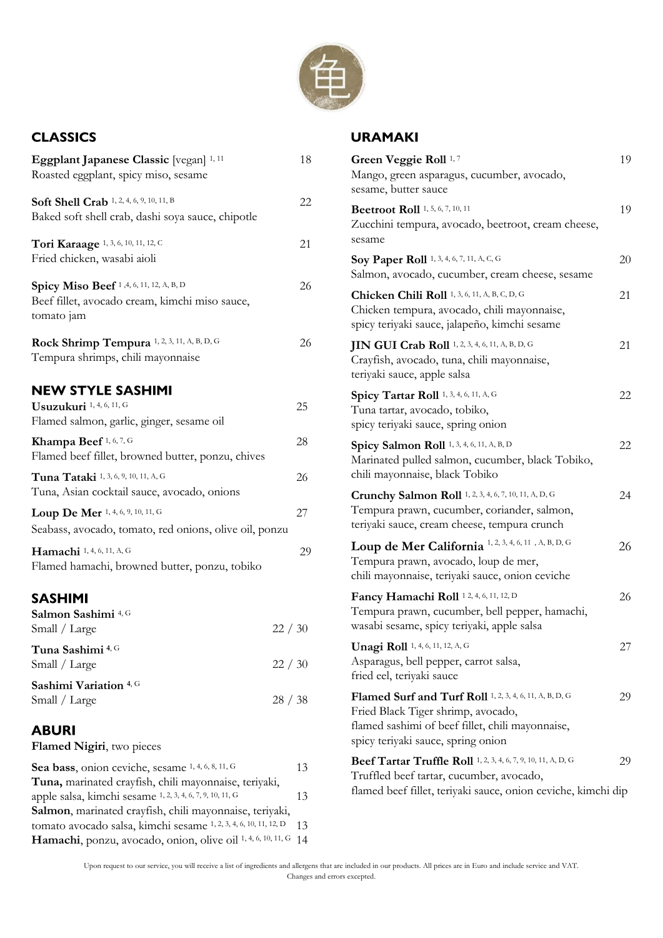

#### **CLASSICS**

| Eggplant Japanese Classic [vegan] 1, 11<br>Roasted eggplant, spicy miso, sesame                                                                                                    | 18    |
|------------------------------------------------------------------------------------------------------------------------------------------------------------------------------------|-------|
| Soft Shell Crab 1, 2, 4, 6, 9, 10, 11, B<br>Baked soft shell crab, dashi soya sauce, chipotle                                                                                      | 22    |
| Tori Karaage 1, 3, 6, 10, 11, 12, C<br>Fried chicken, wasabi aioli                                                                                                                 | 21    |
| Spicy Miso Beef <sup>1,4,6,11,12,A,B,D</sup><br>Beef fillet, avocado cream, kimchi miso sauce,<br>tomato jam                                                                       | 26    |
| Rock Shrimp Tempura 1, 2, 3, 11, A, B, D, G<br>Tempura shrimps, chili mayonnaise                                                                                                   | 26    |
| <b>NEW STYLE SASHIMI</b><br>Usuzukuri 1, 4, 6, 11, G<br>Flamed salmon, garlic, ginger, sesame oil                                                                                  | 25    |
| Khampa Beef 1, 6, 7, G<br>Flamed beef fillet, browned butter, ponzu, chives                                                                                                        | 28    |
| Tuna Tataki 1, 3, 6, 9, 10, 11, A, G<br>Tuna, Asian cocktail sauce, avocado, onions                                                                                                | 26    |
| Loup De Mer 1, 4, 6, 9, 10, 11, G<br>Seabass, avocado, tomato, red onions, olive oil, ponzu                                                                                        | 27    |
| Hamachi 1, 4, 6, 11, A, G<br>Flamed hamachi, browned butter, ponzu, tobiko                                                                                                         | 29    |
| <b>SASHIMI</b><br>Salmon Sashimi <sup>4, G</sup><br>Small / Large                                                                                                                  | 22/30 |
| Tuna Sashimi 4, G<br>Small / Large                                                                                                                                                 | 22/30 |
| Sashimi Variation 4, G<br>Small / Large                                                                                                                                            | 28/38 |
| <b>ABURI</b><br>Flamed Nigiri, two pieces                                                                                                                                          |       |
| $\mathbf{C}_{2,2}$ to $\mathbf{C}_{3,3}$ and $\mathbf{C}_{4,3}$ and $\mathbf{C}_{5,4}$ and $\mathbf{C}_{6,4}$ and $\mathbf{C}_{7,4}$ and $\mathbf{C}_{8,4}$ and $\mathbf{C}_{9,4}$ |       |

| <b>Sea bass,</b> onion ceviche, sesame 1, 4, 0, 0, 11, 0            | $\overline{1}$ |
|---------------------------------------------------------------------|----------------|
| Tuna, marinated crayfish, chili mayonnaise, teriyaki,               |                |
| apple salsa, kimchi sesame 1, 2, 3, 4, 6, 7, 9, 10, 11, G           | 13             |
| Salmon, marinated crayfish, chili mayonnaise, teriyaki,             |                |
| tomato avocado salsa, kimchi sesame 1, 2, 3, 4, 6, 10, 11, 12, D 13 |                |
| Hamachi, ponzu, avocado, onion, olive oil 1, 4, 6, 10, 11, G 14     |                |
|                                                                     |                |

#### **URAMAKI**

| Green Veggie Roll <sup>1,7</sup><br>Mango, green asparagus, cucumber, avocado,<br>sesame, butter sauce                                                                                  | 19 |
|-----------------------------------------------------------------------------------------------------------------------------------------------------------------------------------------|----|
| <b>Beetroot Roll</b> 1, 5, 6, 7, 10, 11<br>Zucchini tempura, avocado, beetroot, cream cheese,<br>sesame                                                                                 | 19 |
| Soy Paper Roll 1, 3, 4, 6, 7, 11, A, C, G<br>Salmon, avocado, cucumber, cream cheese, sesame                                                                                            | 20 |
| Chicken Chili Roll 1, 3, 6, 11, A, B, C, D, G<br>Chicken tempura, avocado, chili mayonnaise,<br>spicy teriyaki sauce, jalapeño, kimchi sesame                                           | 21 |
| JIN GUI Crab Roll 1, 2, 3, 4, 6, 11, A, B, D, G<br>Crayfish, avocado, tuna, chili mayonnaise,<br>teriyaki sauce, apple salsa                                                            | 21 |
| Spicy Tartar Roll 1, 3, 4, 6, 11, A, G<br>Tuna tartar, avocado, tobiko,<br>spicy teriyaki sauce, spring onion                                                                           | 22 |
| Spicy Salmon Roll 1, 3, 4, 6, 11, A, B, D<br>Marinated pulled salmon, cucumber, black Tobiko,<br>chili mayonnaise, black Tobiko                                                         | 22 |
| Crunchy Salmon Roll 1, 2, 3, 4, 6, 7, 10, 11, A, D, G<br>Tempura prawn, cucumber, coriander, salmon,<br>teriyaki sauce, cream cheese, tempura crunch                                    | 24 |
| Loup de Mer California <sup>1, 2, 3, 4, 6, 11, A, B, D, G</sup><br>Tempura prawn, avocado, loup de mer,<br>chili mayonnaise, teriyaki sauce, onion ceviche                              | 26 |
| Fancy Hamachi Roll 12, 4, 6, 11, 12, D<br>Tempura prawn, cucumber, bell pepper, hamachi,<br>wasabi sesame, spicy teriyaki, apple salsa                                                  | 26 |
| Unagi Roll 1, 4, 6, 11, 12, A, G<br>Asparagus, bell pepper, carrot salsa,<br>fried eel, teriyaki sauce                                                                                  | 27 |
| Flamed Surf and Turf Roll 1, 2, 3, 4, 6, 11, A, B, D, G<br>Fried Black Tiger shrimp, avocado,<br>flamed sashimi of beef fillet, chili mayonnaise,<br>spicy teriyaki sauce, spring onion | 29 |
| Beef Tartar Truffle Roll 1, 2, 3, 4, 6, 7, 9, 10, 11, A, D, G<br>Truffled beef tartar, cucumber, avocado,<br>flamed beef fillet, teriyaki sauce, onion ceviche, kimchi dip              | 29 |

Upon request to our service, you will receive a list of ingredients and allergens that are included in our products. All prices are in Euro and include service and VAT. Changes and errors excepted.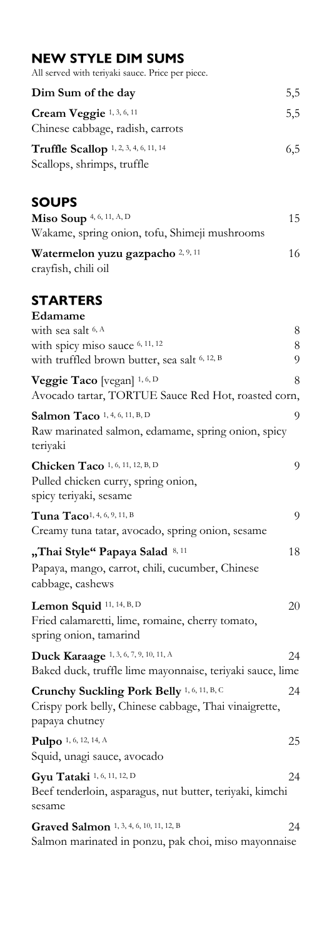## **NEW STYLE DIM SUMS**

| All served with teriyaki sauce. Price per piece. |  |  |  |  |  |  |  |
|--------------------------------------------------|--|--|--|--|--|--|--|
|--------------------------------------------------|--|--|--|--|--|--|--|

| Dim Sum of the day                                                         | 5,5 |
|----------------------------------------------------------------------------|-----|
| Cream Veggie 1, 3, 6, 11<br>Chinese cabbage, radish, carrots               | 5,5 |
| <b>Truffle Scallop</b> 1, 2, 3, 4, 6, 11, 14<br>Scallops, shrimps, truffle | 6,5 |

## **SOUPS**

| <b>Miso Soup</b> 4, 6, 11, A, D<br>Wakame, spring onion, tofu, Shimeji mushrooms | 15 |
|----------------------------------------------------------------------------------|----|
| Watermelon yuzu gazpacho 2, 9, 11                                                | 16 |
| crayfish, chili oil                                                              |    |

# **STARTERS**

| Edamame                                                                                |    |
|----------------------------------------------------------------------------------------|----|
| with sea salt <sup>6, A</sup>                                                          | 8  |
| with spicy miso sauce 6, 11, 12                                                        | 8  |
| with truffled brown butter, sea salt 6, 12, B                                          | 9  |
| Veggie Taco [vegan] $^{1,6, D}$<br>Avocado tartar, TORTUE Sauce Red Hot, roasted corn, | 8  |
| Salmon Taco 1, 4, 6, 11, B, D                                                          | 9  |
| Raw marinated salmon, edamame, spring onion, spicy<br>teriyaki                         |    |
| Chicken Taco 1, 6, 11, 12, B, D                                                        | 9  |
| Pulled chicken curry, spring onion,<br>spicy teriyaki, sesame                          |    |
| Tuna Taco <sup>1, 4, 6, 9, 11, B</sup>                                                 | 9  |
| Creamy tuna tatar, avocado, spring onion, sesame                                       |    |
| "Thai Style" Papaya Salad 8, 11                                                        | 18 |
| Papaya, mango, carrot, chili, cucumber, Chinese                                        |    |
| cabbage, cashews                                                                       |    |
| Lemon Squid 11, 14, B, D                                                               | 20 |
| Fried calamaretti, lime, romaine, cherry tomato,                                       |    |
| spring onion, tamarind                                                                 |    |
| Duck Karaage 1, 3, 6, 7, 9, 10, 11, A                                                  | 24 |
| Baked duck, truffle lime mayonnaise, teriyaki sauce, lime                              |    |
| Crunchy Suckling Pork Belly <sup>1, 6, 11, B, C</sup>                                  | 24 |
| Crispy pork belly, Chinese cabbage, Thai vinaigrette,                                  |    |
| papaya chutney                                                                         |    |
| Pulpo 1, 6, 12, 14, A                                                                  | 25 |
| Squid, unagi sauce, avocado                                                            |    |
| Gyu Tataki 1, 6, 11, 12, D                                                             | 24 |
| Beef tenderloin, asparagus, nut butter, teriyaki, kimchi                               |    |
| sesame                                                                                 |    |
| Graved Salmon 1, 3, 4, 6, 10, 11, 12, B                                                | 24 |
| Salmon marinated in ponzu, pak choi, miso mayonnaise                                   |    |